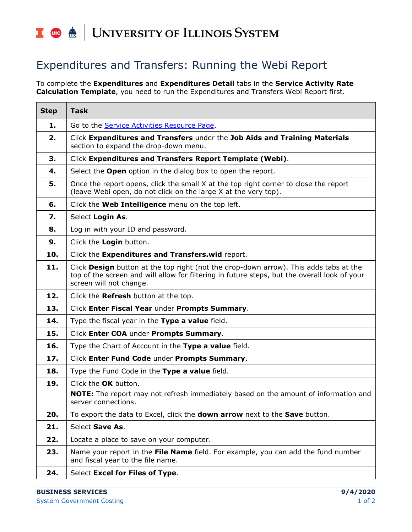## I **the detection of South SCITLE SETTEM**

## Expenditures and Transfers: Running the Webi Report

To complete the **Expenditures** and **Expenditures Detail** tabs in the **Service Activity Rate Calculation Template**, you need to run the Expenditures and Transfers Webi Report first.

| <b>Step</b> | <b>Task</b>                                                                                                                                                                                                      |
|-------------|------------------------------------------------------------------------------------------------------------------------------------------------------------------------------------------------------------------|
| 1.          | Go to the <b>Service Activities Resource Page</b> .                                                                                                                                                              |
| 2.          | Click Expenditures and Transfers under the Job Aids and Training Materials<br>section to expand the drop-down menu.                                                                                              |
| 3.          | Click Expenditures and Transfers Report Template (Webi).                                                                                                                                                         |
| 4.          | Select the Open option in the dialog box to open the report.                                                                                                                                                     |
| 5.          | Once the report opens, click the small X at the top right corner to close the report<br>(leave Webi open, do not click on the large X at the very top).                                                          |
| 6.          | Click the Web Intelligence menu on the top left.                                                                                                                                                                 |
| 7.          | Select Login As.                                                                                                                                                                                                 |
| 8.          | Log in with your ID and password.                                                                                                                                                                                |
| 9.          | Click the Login button.                                                                                                                                                                                          |
| 10.         | Click the Expenditures and Transfers.wid report.                                                                                                                                                                 |
| 11.         | Click Design button at the top right (not the drop-down arrow). This adds tabs at the<br>top of the screen and will allow for filtering in future steps, but the overall look of your<br>screen will not change. |
| 12.         | Click the Refresh button at the top.                                                                                                                                                                             |
| 13.         | Click Enter Fiscal Year under Prompts Summary.                                                                                                                                                                   |
| 14.         | Type the fiscal year in the Type a value field.                                                                                                                                                                  |
| 15.         | Click Enter COA under Prompts Summary.                                                                                                                                                                           |
| 16.         | Type the Chart of Account in the Type a value field.                                                                                                                                                             |
| 17.         | Click Enter Fund Code under Prompts Summary.                                                                                                                                                                     |
| 18.         | Type the Fund Code in the Type a value field.                                                                                                                                                                    |
| 19.         | Click the OK button.<br><b>NOTE:</b> The report may not refresh immediately based on the amount of information and<br>server connections.                                                                        |
| 20.         | To export the data to Excel, click the <b>down arrow</b> next to the <b>Save</b> button.                                                                                                                         |
| 21.         | Select Save As.                                                                                                                                                                                                  |
| 22.         | Locate a place to save on your computer.                                                                                                                                                                         |
| 23.         | Name your report in the File Name field. For example, you can add the fund number<br>and fiscal year to the file name.                                                                                           |
| 24.         | Select Excel for Files of Type.                                                                                                                                                                                  |